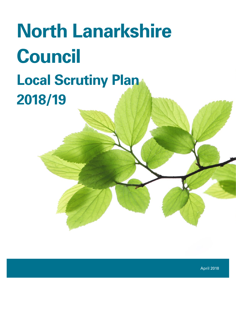# **North Lanarkshire Council Local Scrutiny Plan 2018/19**

April 2018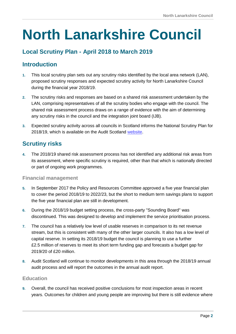## **North Lanarkshire Council**

#### **Local Scrutiny Plan - April 2018 to March 2019**

#### **Introduction**

- **1.** This local scrutiny plan sets out any scrutiny risks identified by the local area network (LAN), proposed scrutiny responses and expected scrutiny activity for North Lanarkshire Council during the financial year 2018/19.
- **2.** The scrutiny risks and responses are based on a shared risk assessment undertaken by the LAN, comprising representatives of all the scrutiny bodies who engage with the council. The shared risk assessment process draws on a range of evidence with the aim of determining any scrutiny risks in the council and the integration joint board (IJB).
- **3.** Expected scrutiny activity across all councils in Scotland informs the National Scrutiny Plan for 2018/19, which is available on the Audit Scotland [website.](http://www.audit-scotland.gov.uk/)

#### **Scrutiny risks**

**4.** The 2018/19 shared risk assessment process has not identified any additional risk areas from its assessment, where specific scrutiny is required, other than that which is nationally directed or part of ongoing work programmes.

#### **Financial management**

- **5.** In September 2017 the Policy and Resources Committee approved a five year financial plan to cover the period 2018/19 to 2022/23, but the short to medium term savings plans to support the five year financial plan are still in development.
- **6.** During the 2018/19 budget setting process, the cross-party "Sounding Board" was discontinued. This was designed to develop and implement the service prioritisation process.
- **7.** The council has a relatively low level of usable reserves in comparison to its net revenue stream, but this is consistent with many of the other larger councils. It also has a low level of capital reserve. In setting its 2018/19 budget the council is planning to use a further £2.5 million of reserves to meet its short term funding gap and forecasts a budget gap for 2019/20 of £20 million.
- **8.** Audit Scotland will continue to monitor developments in this area through the 2018/19 annual audit process and will report the outcomes in the annual audit report.

#### **Education**

**9.** Overall, the council has received positive conclusions for most inspection areas in recent years. Outcomes for children and young people are improving but there is still evidence where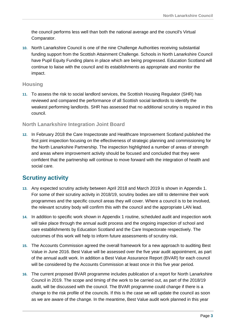the council performs less well than both the national average and the council's Virtual Comparator.

**10.** North Lanarkshire Council is one of the nine Challenge Authorities receiving substantial funding support from the Scottish Attainment Challenge. Schools in North Lanarkshire Council have Pupil Equity Funding plans in place which are being progressed. Education Scotland will continue to liaise with the council and its establishments as appropriate and monitor the impact.

#### **Housing**

**11.** To assess the risk to social landlord services, the Scottish Housing Regulator (SHR) has reviewed and compared the performance of all Scottish social landlords to identify the weakest performing landlords. SHR has assessed that no additional scrutiny is required in this council.

#### **North Lanarkshire Integration Joint Board**

**12.** In February 2018 the Care Inspectorate and Healthcare Improvement Scotland published the first joint inspection focusing on the effectiveness of strategic planning and commissioning for the North Lanarkshire Partnership. The inspection highlighted a number of areas of strength and areas where improvement activity should be focused and concluded that they were confident that the partnership will continue to move forward with the integration of health and social care.

#### **Scrutiny activity**

- **13.** Any expected scrutiny activity between April 2018 and March 2019 is shown in Appendix 1. For some of their scrutiny activity in 2018/19, scrutiny bodies are still to determine their work programmes and the specific council areas they will cover. Where a council is to be involved, the relevant scrutiny body will confirm this with the council and the appropriate LAN lead.
- **14.** In addition to specific work shown in Appendix 1 routine, scheduled audit and inspection work will take place through the annual audit process and the ongoing inspection of school and care establishments by Education Scotland and the Care Inspectorate respectively. The outcomes of this work will help to inform future assessments of scrutiny risk.
- **15.** The Accounts Commission agreed the overall framework for a new approach to auditing Best Value in June 2016. Best Value will be assessed over the five year audit appointment, as part of the annual audit work. In addition a Best Value Assurance Report (BVAR) for each council will be considered by the Accounts Commission at least once in this five year period.
- **16.** The current proposed BVAR programme includes publication of a report for North Lanarkshire Council in 2019. The scope and timing of the work to be carried out, as part of the 2018/19 audit, will be discussed with the council. The BVAR programme could change if there is a change to the risk profile of the councils. If this is the case we will update the council as soon as we are aware of the change. In the meantime, Best Value audit work planned in this year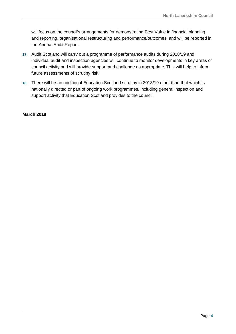will focus on the council's arrangements for demonstrating Best Value in financial planning and reporting, organisational restructuring and performance/outcomes, and will be reported in the Annual Audit Report.

- **17.** Audit Scotland will carry out a programme of performance audits during 2018/19 and individual audit and inspection agencies will continue to monitor developments in key areas of council activity and will provide support and challenge as appropriate. This will help to inform future assessments of scrutiny risk.
- **18.** There will be no additional Education Scotland scrutiny in 2018/19 other than that which is nationally directed or part of ongoing work programmes, including general inspection and support activity that Education Scotland provides to the council.

#### **March 2018**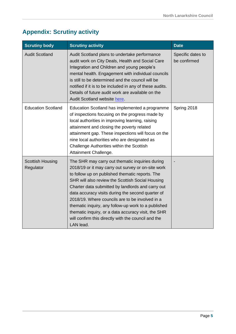### **Appendix: Scrutiny activity**

| <b>Scrutiny body</b>                 | <b>Scrutiny activity</b>                                                                                                                                                                                                                                                                                                                                                                                                                                                                                                                                    | <b>Date</b>                       |
|--------------------------------------|-------------------------------------------------------------------------------------------------------------------------------------------------------------------------------------------------------------------------------------------------------------------------------------------------------------------------------------------------------------------------------------------------------------------------------------------------------------------------------------------------------------------------------------------------------------|-----------------------------------|
| <b>Audit Scotland</b>                | Audit Scotland plans to undertake performance<br>audit work on City Deals, Health and Social Care<br>Integration and Children and young people's<br>mental health. Engagement with individual councils<br>is still to be determined and the council will be<br>notified if it is to be included in any of these audits.<br>Details of future audit work are available on the<br>Audit Scotland website here.                                                                                                                                                | Specific dates to<br>be confirmed |
| <b>Education Scotland</b>            | Education Scotland has implemented a programme<br>of inspections focusing on the progress made by<br>local authorities in improving learning, raising<br>attainment and closing the poverty related<br>attainment gap. These inspections will focus on the<br>nine local authorities who are designated as<br>Challenge Authorities within the Scottish<br>Attainment Challenge.                                                                                                                                                                            | Spring 2018                       |
| <b>Scottish Housing</b><br>Regulator | The SHR may carry out thematic inquiries during<br>2018/19 or it may carry out survey or on-site work<br>to follow up on published thematic reports. The<br>SHR will also review the Scottish Social Housing<br>Charter data submitted by landlords and carry out<br>data accuracy visits during the second quarter of<br>2018/19. Where councils are to be involved in a<br>thematic inquiry, any follow-up work to a published<br>thematic inquiry, or a data accuracy visit, the SHR<br>will confirm this directly with the council and the<br>LAN lead. |                                   |